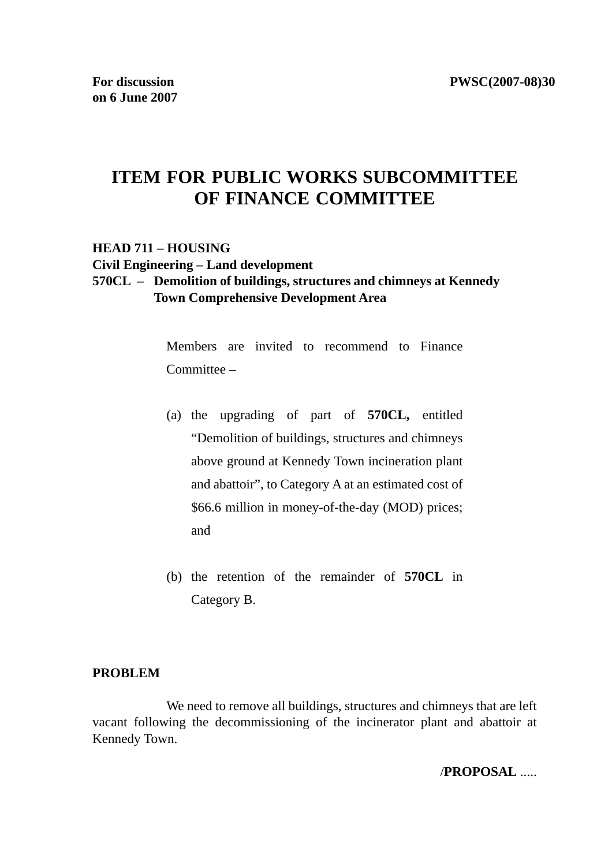# **ITEM FOR PUBLIC WORKS SUBCOMMITTEE OF FINANCE COMMITTEE**

### **HEAD 711 – HOUSING Civil Engineering – Land development 570CL – Demolition of buildings, structures and chimneys at Kennedy Town Comprehensive Development Area**

Members are invited to recommend to Finance Committee –

- (a) the upgrading of part of **570CL,** entitled "Demolition of buildings, structures and chimneys above ground at Kennedy Town incineration plant and abattoir", to Category A at an estimated cost of \$66.6 million in money-of-the-day (MOD) prices; and
- (b) the retention of the remainder of **570CL** in Category B.

### **PROBLEM**

 We need to remove all buildings, structures and chimneys that are left vacant following the decommissioning of the incinerator plant and abattoir at Kennedy Town.

/**PROPOSAL** .....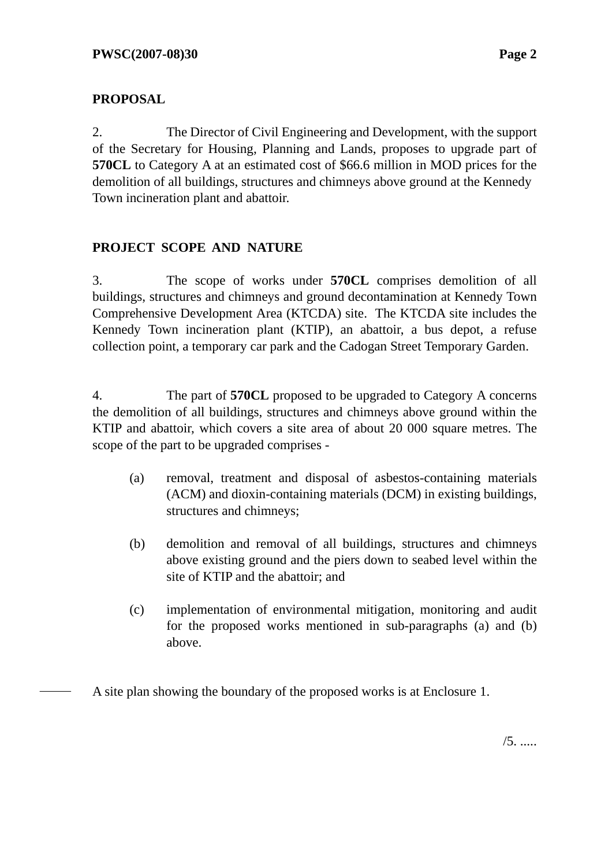# **PROPOSAL**

2. The Director of Civil Engineering and Development, with the support of the Secretary for Housing, Planning and Lands, proposes to upgrade part of **570CL** to Category A at an estimated cost of \$66.6 million in MOD prices for the demolition of all buildings, structures and chimneys above ground at the Kennedy Town incineration plant and abattoir.

# **PROJECT SCOPE AND NATURE**

3. The scope of works under **570CL** comprises demolition of all buildings, structures and chimneys and ground decontamination at Kennedy Town Comprehensive Development Area (KTCDA) site. The KTCDA site includes the Kennedy Town incineration plant (KTIP), an abattoir, a bus depot, a refuse collection point, a temporary car park and the Cadogan Street Temporary Garden.

4. The part of **570CL** proposed to be upgraded to Category A concerns the demolition of all buildings, structures and chimneys above ground within the KTIP and abattoir, which covers a site area of about 20 000 square metres. The scope of the part to be upgraded comprises -

- (a) removal, treatment and disposal of asbestos-containing materials (ACM) and dioxin-containing materials (DCM) in existing buildings, structures and chimneys;
- (b) demolition and removal of all buildings, structures and chimneys above existing ground and the piers down to seabed level within the site of KTIP and the abattoir; and
- (c) implementation of environmental mitigation, monitoring and audit for the proposed works mentioned in sub-paragraphs (a) and (b) above.

A site plan showing the boundary of the proposed works is at Enclosure 1.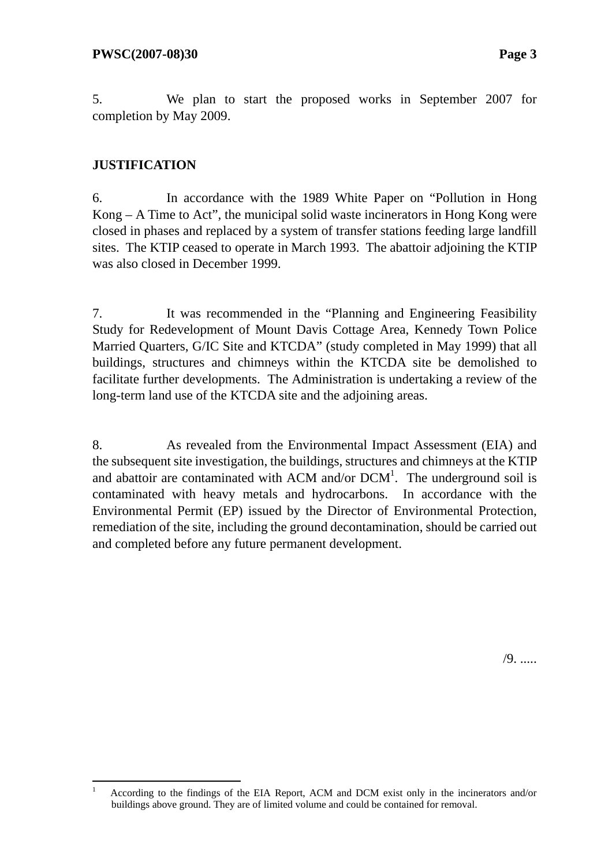5. We plan to start the proposed works in September 2007 for completion by May 2009.

# **JUSTIFICATION**

6. In accordance with the 1989 White Paper on "Pollution in Hong Kong – A Time to Act", the municipal solid waste incinerators in Hong Kong were closed in phases and replaced by a system of transfer stations feeding large landfill sites. The KTIP ceased to operate in March 1993. The abattoir adjoining the KTIP was also closed in December 1999.

7. It was recommended in the "Planning and Engineering Feasibility Study for Redevelopment of Mount Davis Cottage Area, Kennedy Town Police Married Quarters, G/IC Site and KTCDA" (study completed in May 1999) that all buildings, structures and chimneys within the KTCDA site be demolished to facilitate further developments. The Administration is undertaking a review of the long-term land use of the KTCDA site and the adjoining areas.

8. As revealed from the Environmental Impact Assessment (EIA) and the subsequent site investigation, the buildings, structures and chimneys at the KTIP and abattoir are contaminated with ACM and/or  $DCM<sup>1</sup>$ . The underground soil is contaminated with heavy metals and hydrocarbons. In accordance with the Environmental Permit (EP) issued by the Director of Environmental Protection, remediation of the site, including the ground decontamination, should be carried out and completed before any future permanent development.

/9. .....

 $\frac{1}{1}$  According to the findings of the EIA Report, ACM and DCM exist only in the incinerators and/or buildings above ground. They are of limited volume and could be contained for removal.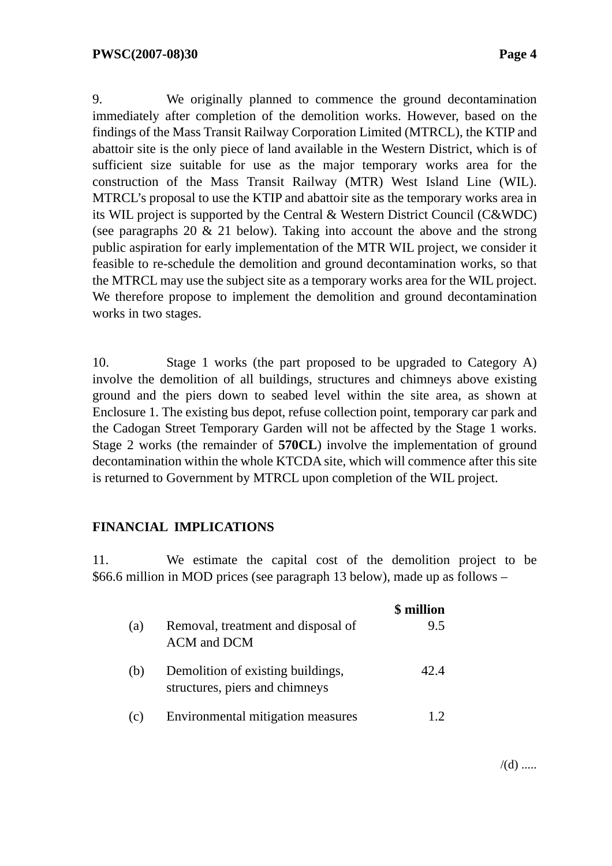9. We originally planned to commence the ground decontamination immediately after completion of the demolition works. However, based on the findings of the Mass Transit Railway Corporation Limited (MTRCL), the KTIP and abattoir site is the only piece of land available in the Western District, which is of sufficient size suitable for use as the major temporary works area for the construction of the Mass Transit Railway (MTR) West Island Line (WIL). MTRCL's proposal to use the KTIP and abattoir site as the temporary works area in its WIL project is supported by the Central & Western District Council (C&WDC) (see paragraphs 20 & 21 below). Taking into account the above and the strong public aspiration for early implementation of the MTR WIL project, we consider it feasible to re-schedule the demolition and ground decontamination works, so that the MTRCL may use the subject site as a temporary works area for the WIL project. We therefore propose to implement the demolition and ground decontamination works in two stages.

10. Stage 1 works (the part proposed to be upgraded to Category A) involve the demolition of all buildings, structures and chimneys above existing ground and the piers down to seabed level within the site area, as shown at Enclosure 1. The existing bus depot, refuse collection point, temporary car park and the Cadogan Street Temporary Garden will not be affected by the Stage 1 works. Stage 2 works (the remainder of **570CL**) involve the implementation of ground decontamination within the whole KTCDA site, which will commence after this site is returned to Government by MTRCL upon completion of the WIL project.

### **FINANCIAL IMPLICATIONS**

11. We estimate the capital cost of the demolition project to be \$66.6 million in MOD prices (see paragraph 13 below), made up as follows –

|     |                                                                     | \$ million |
|-----|---------------------------------------------------------------------|------------|
| (a) | Removal, treatment and disposal of<br>ACM and DCM                   | 9.5        |
| (b) | Demolition of existing buildings,<br>structures, piers and chimneys | 42.4       |
| (c) | Environmental mitigation measures                                   |            |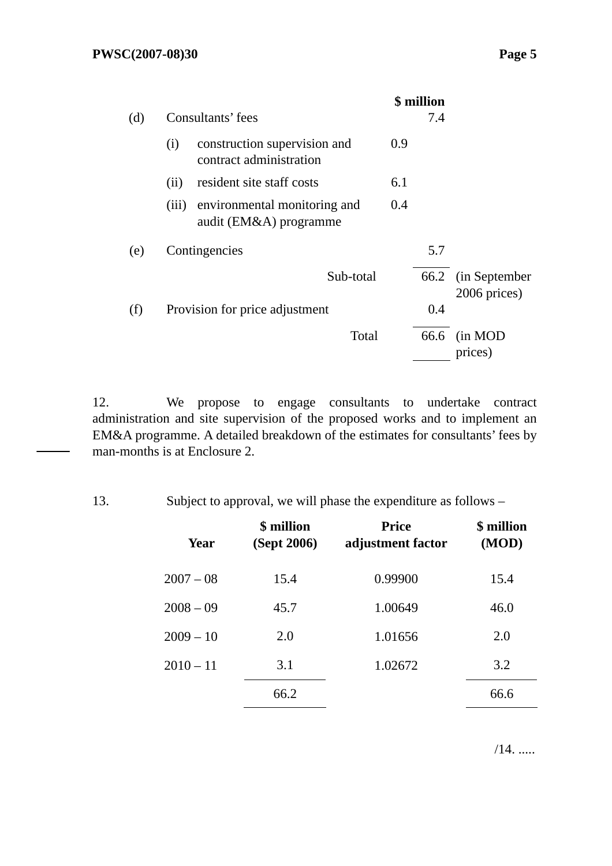|     |                                                                 |     | \$ million |                                    |
|-----|-----------------------------------------------------------------|-----|------------|------------------------------------|
| (d) | Consultants' fees                                               |     | 7.4        |                                    |
|     | construction supervision and<br>(i)<br>contract administration  | 0.9 |            |                                    |
|     | resident site staff costs<br>(ii)                               | 6.1 |            |                                    |
|     | environmental monitoring and<br>(iii)<br>audit (EM&A) programme | 0.4 |            |                                    |
| (e) | Contingencies                                                   |     | 5.7        |                                    |
|     | Sub-total                                                       |     |            | 66.2 (in September<br>2006 prices) |
| (f) | Provision for price adjustment                                  |     | 0.4        |                                    |
|     | Total                                                           |     | 66.6       | (in MOD<br>prices)                 |

12. We propose to engage consultants to undertake contract administration and site supervision of the proposed works and to implement an EM&A programme. A detailed breakdown of the estimates for consultants' fees by man-months is at Enclosure 2.

13. Subject to approval, we will phase the expenditure as follows –

| Year        | \$ million<br>(Sept 2006) | <b>Price</b><br>adjustment factor | \$ million<br>(MOD) |
|-------------|---------------------------|-----------------------------------|---------------------|
| $2007 - 08$ | 15.4                      | 0.99900                           | 15.4                |
| $2008 - 09$ | 45.7                      | 1.00649                           | 46.0                |
| $2009 - 10$ | 2.0                       | 1.01656                           | 2.0                 |
| $2010 - 11$ | 3.1                       | 1.02672                           | 3.2                 |
|             | 66.2                      |                                   | 66.6                |

 $/14.$  .....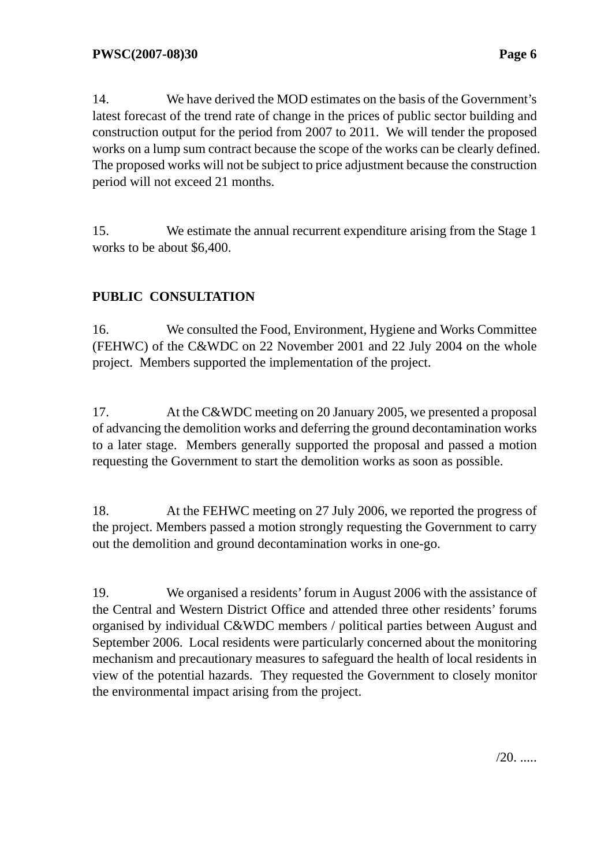14. We have derived the MOD estimates on the basis of the Government's latest forecast of the trend rate of change in the prices of public sector building and construction output for the period from 2007 to 2011. We will tender the proposed works on a lump sum contract because the scope of the works can be clearly defined. The proposed works will not be subject to price adjustment because the construction period will not exceed 21 months.

15. We estimate the annual recurrent expenditure arising from the Stage 1 works to be about \$6,400.

# **PUBLIC CONSULTATION**

16. We consulted the Food, Environment, Hygiene and Works Committee (FEHWC) of the C&WDC on 22 November 2001 and 22 July 2004 on the whole project. Members supported the implementation of the project.

17. At the C&WDC meeting on 20 January 2005, we presented a proposal of advancing the demolition works and deferring the ground decontamination works to a later stage. Members generally supported the proposal and passed a motion requesting the Government to start the demolition works as soon as possible.

18. At the FEHWC meeting on 27 July 2006, we reported the progress of the project. Members passed a motion strongly requesting the Government to carry out the demolition and ground decontamination works in one-go.

19. We organised a residents' forum in August 2006 with the assistance of the Central and Western District Office and attended three other residents' forums organised by individual C&WDC members / political parties between August and September 2006. Local residents were particularly concerned about the monitoring mechanism and precautionary measures to safeguard the health of local residents in view of the potential hazards. They requested the Government to closely monitor the environmental impact arising from the project.

 $/20$ . .....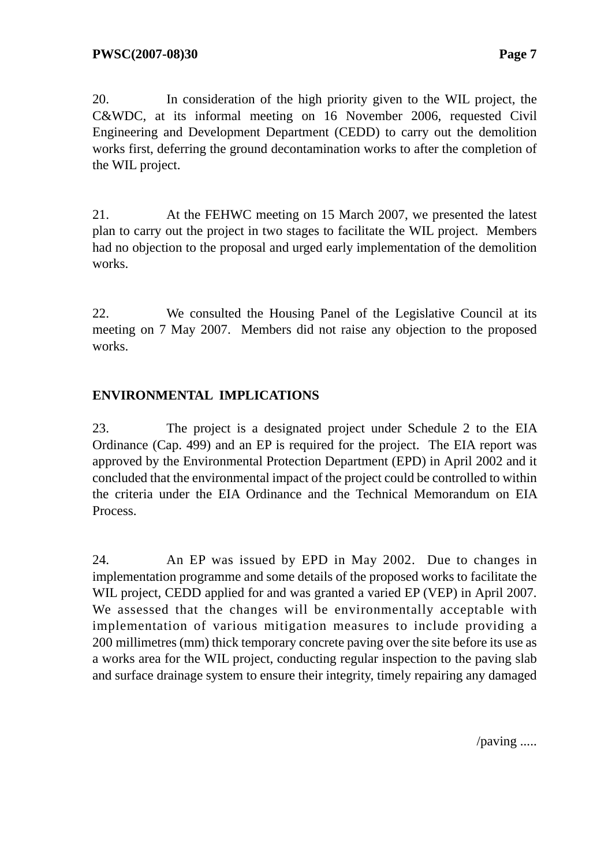20. In consideration of the high priority given to the WIL project, the C&WDC, at its informal meeting on 16 November 2006, requested Civil Engineering and Development Department (CEDD) to carry out the demolition works first, deferring the ground decontamination works to after the completion of the WIL project.

21. At the FEHWC meeting on 15 March 2007, we presented the latest plan to carry out the project in two stages to facilitate the WIL project. Members had no objection to the proposal and urged early implementation of the demolition works.

22. We consulted the Housing Panel of the Legislative Council at its meeting on 7 May 2007. Members did not raise any objection to the proposed works.

## **ENVIRONMENTAL IMPLICATIONS**

23. The project is a designated project under Schedule 2 to the EIA Ordinance (Cap. 499) and an EP is required for the project. The EIA report was approved by the Environmental Protection Department (EPD) in April 2002 and it concluded that the environmental impact of the project could be controlled to within the criteria under the EIA Ordinance and the Technical Memorandum on EIA Process.

24. An EP was issued by EPD in May 2002. Due to changes in implementation programme and some details of the proposed works to facilitate the WIL project, CEDD applied for and was granted a varied EP (VEP) in April 2007. We assessed that the changes will be environmentally acceptable with implementation of various mitigation measures to include providing a 200 millimetres (mm) thick temporary concrete paving over the site before its use as a works area for the WIL project, conducting regular inspection to the paving slab and surface drainage system to ensure their integrity, timely repairing any damaged

/paving .....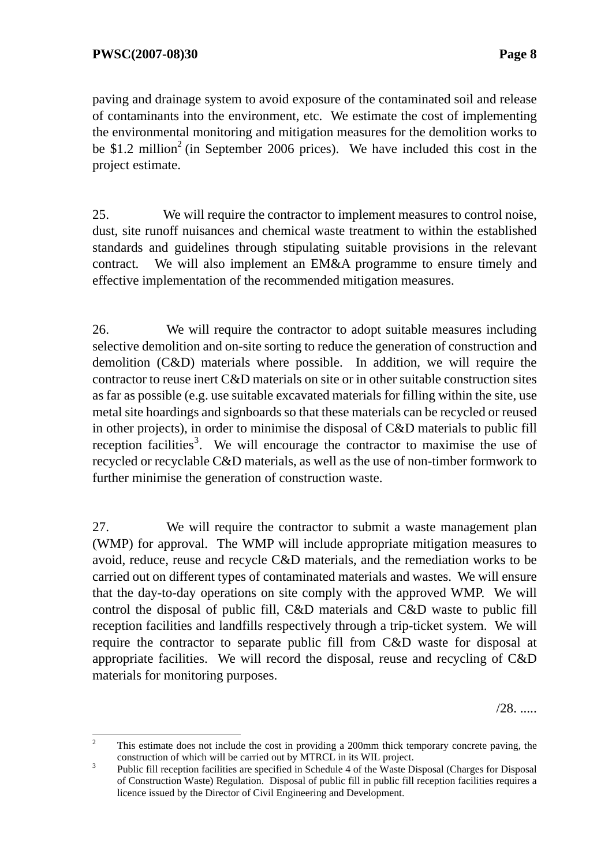paving and drainage system to avoid exposure of the contaminated soil and release of contaminants into the environment, etc. We estimate the cost of implementing the environmental monitoring and mitigation measures for the demolition works to be \$1.2 million<sup>2</sup> (in September 2006 prices). We have included this cost in the project estimate.

25. We will require the contractor to implement measures to control noise, dust, site runoff nuisances and chemical waste treatment to within the established standards and guidelines through stipulating suitable provisions in the relevant contract. We will also implement an EM&A programme to ensure timely and effective implementation of the recommended mitigation measures.

26. We will require the contractor to adopt suitable measures including selective demolition and on-site sorting to reduce the generation of construction and demolition (C&D) materials where possible. In addition, we will require the contractor to reuse inert C&D materials on site or in other suitable construction sites as far as possible (e.g. use suitable excavated materials for filling within the site, use metal site hoardings and signboards so that these materials can be recycled or reused in other projects), in order to minimise the disposal of C&D materials to public fill reception facilities<sup>3</sup>. We will encourage the contractor to maximise the use of recycled or recyclable C&D materials, as well as the use of non-timber formwork to further minimise the generation of construction waste.

27. We will require the contractor to submit a waste management plan (WMP) for approval. The WMP will include appropriate mitigation measures to avoid, reduce, reuse and recycle C&D materials, and the remediation works to be carried out on different types of contaminated materials and wastes. We will ensure that the day-to-day operations on site comply with the approved WMP. We will control the disposal of public fill, C&D materials and C&D waste to public fill reception facilities and landfills respectively through a trip-ticket system. We will require the contractor to separate public fill from C&D waste for disposal at appropriate facilities. We will record the disposal, reuse and recycling of C&D materials for monitoring purposes.

/28. .....

 $\frac{1}{2}$  This estimate does not include the cost in providing a 200mm thick temporary concrete paving, the construction of which will be carried out by MTRCL in its WIL project.

Public fill reception facilities are specified in Schedule 4 of the Waste Disposal (Charges for Disposal of Construction Waste) Regulation. Disposal of public fill in public fill reception facilities requires a licence issued by the Director of Civil Engineering and Development.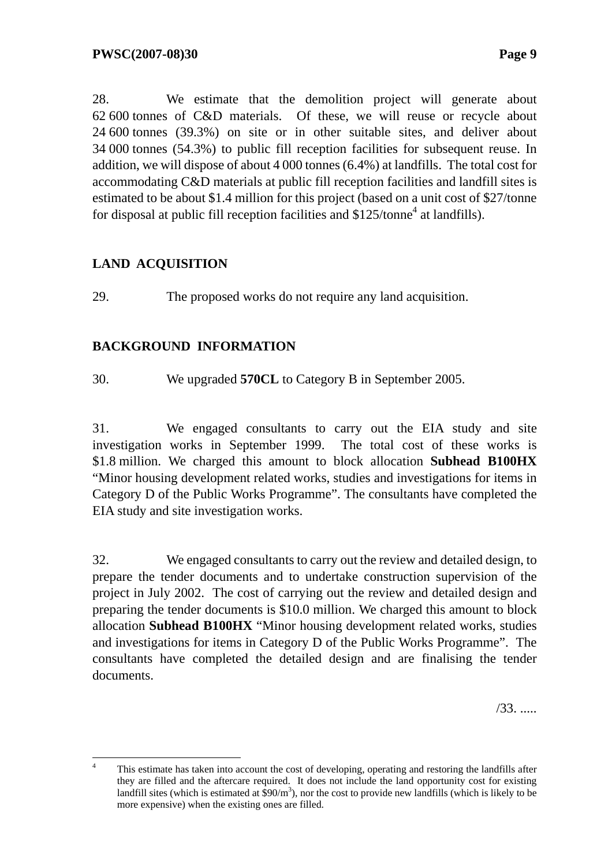28. We estimate that the demolition project will generate about 62 600 tonnes of C&D materials. Of these, we will reuse or recycle about 24 600 tonnes (39.3%) on site or in other suitable sites, and deliver about 34 000 tonnes (54.3%) to public fill reception facilities for subsequent reuse. In addition, we will dispose of about 4 000 tonnes (6.4%) at landfills. The total cost for accommodating C&D materials at public fill reception facilities and landfill sites is estimated to be about \$1.4 million for this project (based on a unit cost of \$27/tonne for disposal at public fill reception facilities and  $$125/tonne<sup>4</sup>$  at landfills).

## **LAND ACQUISITION**

29. The proposed works do not require any land acquisition.

# **BACKGROUND INFORMATION**

30. We upgraded **570CL** to Category B in September 2005.

31. We engaged consultants to carry out the EIA study and site investigation works in September 1999. The total cost of these works is \$1.8 million. We charged this amount to block allocation **Subhead B100HX**  "Minor housing development related works, studies and investigations for items in Category D of the Public Works Programme". The consultants have completed the EIA study and site investigation works.

32. We engaged consultants to carry out the review and detailed design, to prepare the tender documents and to undertake construction supervision of the project in July 2002. The cost of carrying out the review and detailed design and preparing the tender documents is \$10.0 million. We charged this amount to block allocation **Subhead B100HX** "Minor housing development related works, studies and investigations for items in Category D of the Public Works Programme". The consultants have completed the detailed design and are finalising the tender documents.

/33. .....

 $\frac{1}{4}$  This estimate has taken into account the cost of developing, operating and restoring the landfills after they are filled and the aftercare required. It does not include the land opportunity cost for existing landfill sites (which is estimated at  $\sinh^3$ ), nor the cost to provide new landfills (which is likely to be more expensive) when the existing ones are filled.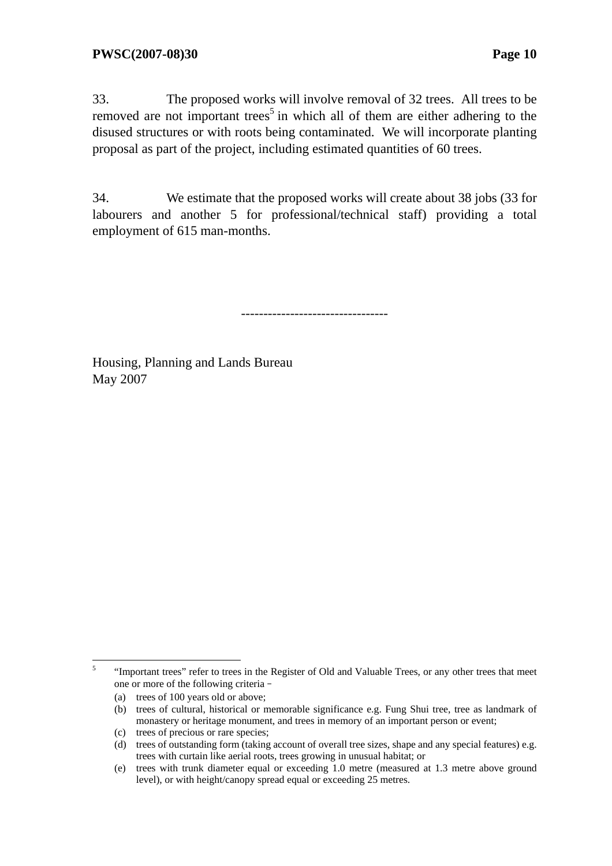33. The proposed works will involve removal of 32 trees. All trees to be removed are not important trees<sup>5</sup> in which all of them are either adhering to the disused structures or with roots being contaminated. We will incorporate planting proposal as part of the project, including estimated quantities of 60 trees.

34. We estimate that the proposed works will create about 38 jobs (33 for labourers and another 5 for professional/technical staff) providing a total employment of 615 man-months.

---------------------------------

Housing, Planning and Lands Bureau May 2007

 5 "Important trees" refer to trees in the Register of Old and Valuable Trees, or any other trees that meet one or more of the following criteria–

<sup>(</sup>a) trees of 100 years old or above;

<sup>(</sup>b) trees of cultural, historical or memorable significance e.g. Fung Shui tree, tree as landmark of monastery or heritage monument, and trees in memory of an important person or event;

<sup>(</sup>c) trees of precious or rare species;

<sup>(</sup>d) trees of outstanding form (taking account of overall tree sizes, shape and any special features) e.g. trees with curtain like aerial roots, trees growing in unusual habitat; or

<sup>(</sup>e) trees with trunk diameter equal or exceeding 1.0 metre (measured at 1.3 metre above ground level), or with height/canopy spread equal or exceeding 25 metres.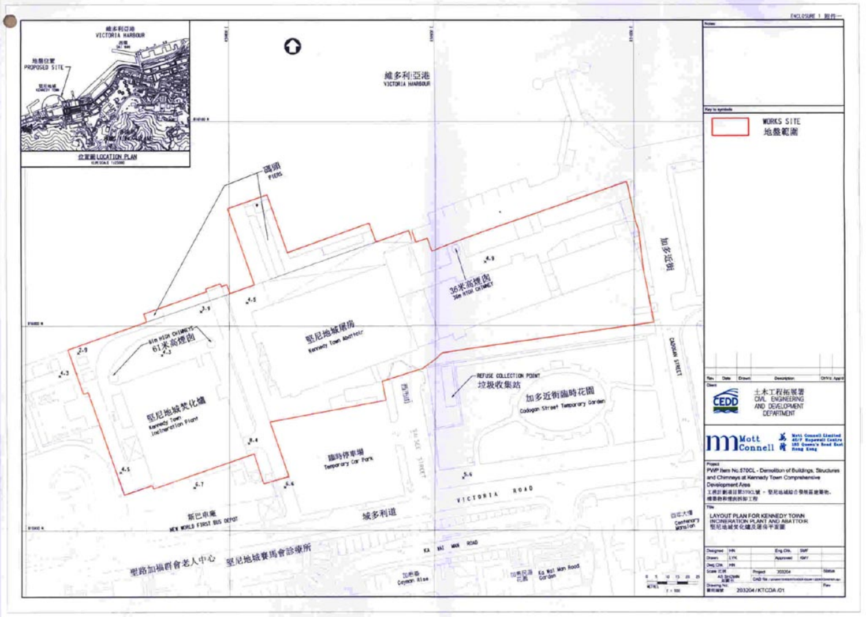